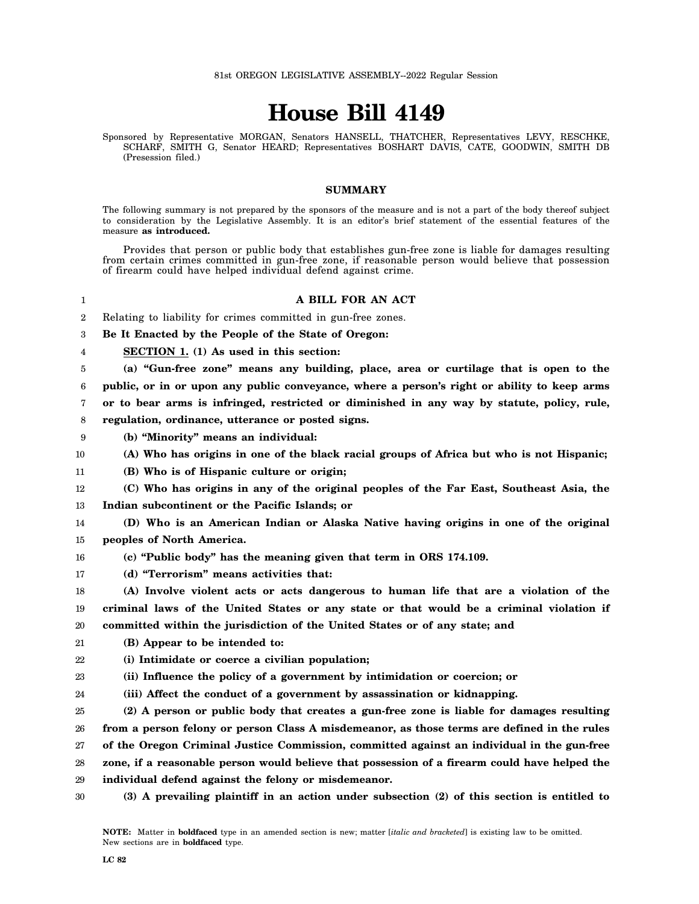## **House Bill 4149**

Sponsored by Representative MORGAN, Senators HANSELL, THATCHER, Representatives LEVY, RESCHKE, SCHARF, SMITH G, Senator HEARD; Representatives BOSHART DAVIS, CATE, GOODWIN, SMITH DB (Presession filed.)

## **SUMMARY**

The following summary is not prepared by the sponsors of the measure and is not a part of the body thereof subject to consideration by the Legislative Assembly. It is an editor's brief statement of the essential features of the measure **as introduced.**

Provides that person or public body that establishes gun-free zone is liable for damages resulting from certain crimes committed in gun-free zone, if reasonable person would believe that possession of firearm could have helped individual defend against crime.

**A BILL FOR AN ACT**

2 Relating to liability for crimes committed in gun-free zones.

3 **Be It Enacted by the People of the State of Oregon:**

4 **SECTION 1. (1) As used in this section:**

1

5 **(a) "Gun-free zone" means any building, place, area or curtilage that is open to the**

6 **public, or in or upon any public conveyance, where a person's right or ability to keep arms**

7 **or to bear arms is infringed, restricted or diminished in any way by statute, policy, rule,**

8 **regulation, ordinance, utterance or posted signs.**

9 **(b) "Minority" means an individual:**

10 **(A) Who has origins in one of the black racial groups of Africa but who is not Hispanic;**

11 **(B) Who is of Hispanic culture or origin;**

12 13 **(C) Who has origins in any of the original peoples of the Far East, Southeast Asia, the Indian subcontinent or the Pacific Islands; or**

14 15 **(D) Who is an American Indian or Alaska Native having origins in one of the original peoples of North America.**

16 **(c) "Public body" has the meaning given that term in ORS 174.109.**

17 **(d) "Terrorism" means activities that:**

18 19 20 **(A) Involve violent acts or acts dangerous to human life that are a violation of the criminal laws of the United States or any state or that would be a criminal violation if committed within the jurisdiction of the United States or of any state; and**

21 **(B) Appear to be intended to:**

22 **(i) Intimidate or coerce a civilian population;**

23 **(ii) Influence the policy of a government by intimidation or coercion; or**

24 **(iii) Affect the conduct of a government by assassination or kidnapping.**

25 **(2) A person or public body that creates a gun-free zone is liable for damages resulting**

26 **from a person felony or person Class A misdemeanor, as those terms are defined in the rules**

27 **of the Oregon Criminal Justice Commission, committed against an individual in the gun-free**

28 **zone, if a reasonable person would believe that possession of a firearm could have helped the**

- 29 **individual defend against the felony or misdemeanor.**
- 30 **(3) A prevailing plaintiff in an action under subsection (2) of this section is entitled to**